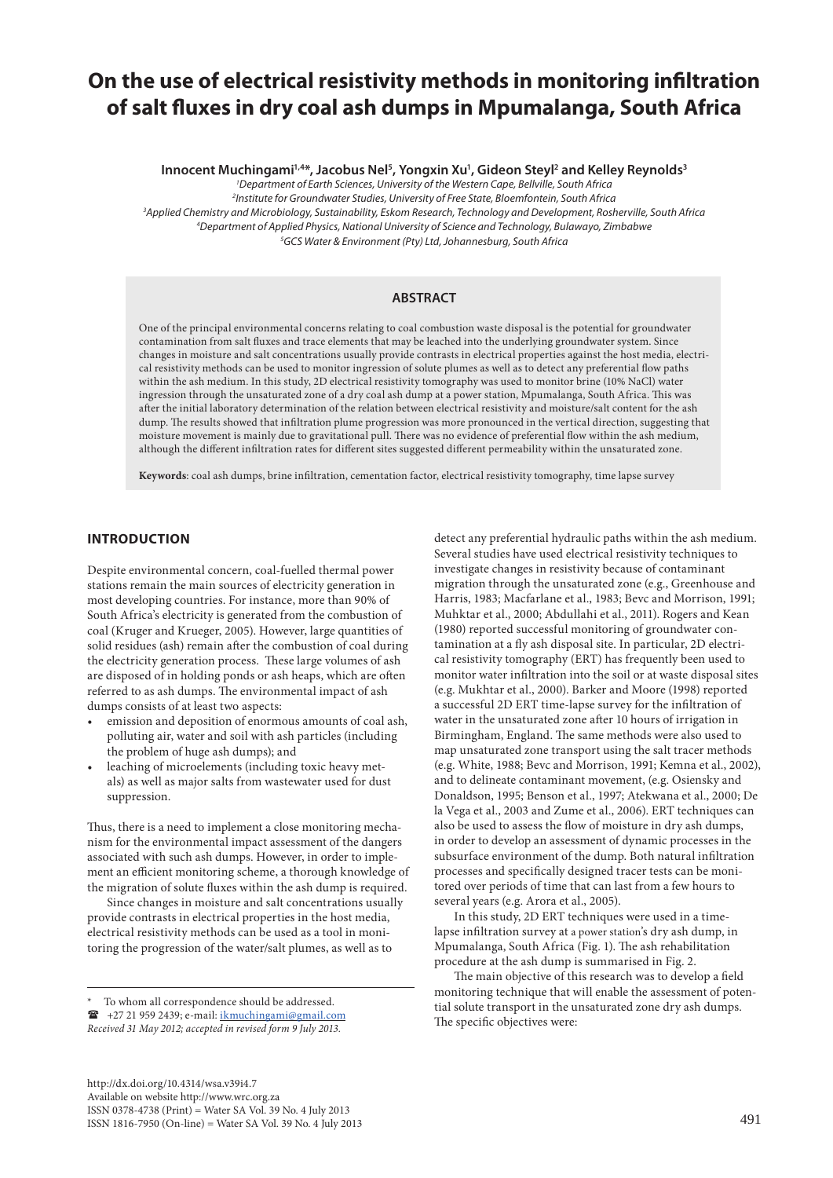# **On the use of electrical resistivity methods in monitoring infiltration of salt fluxes in dry coal ash dumps in Mpumalanga, South Africa**

**Innocent Muchingami1,4\*, Jacobus Nel5 , Yongxin Xu1 , Gideon Steyl2 and Kelley Reynolds3**

*1 Department of Earth Sciences, University of the Western Cape, Bellville, South Africa*

*2 Institute for Groundwater Studies, University of Free State, Bloemfontein, South Africa*

*3 Applied Chemistry and Microbiology, Sustainability, Eskom Research, Technology and Development, Rosherville, South Africa*

*4 Department of Applied Physics, National University of Science and Technology, Bulawayo, Zimbabwe*

*5 GCS Water & Environment (Pty) Ltd, Johannesburg, South Africa*

# **ABSTRACT**

One of the principal environmental concerns relating to coal combustion waste disposal is the potential for groundwater contamination from salt fluxes and trace elements that may be leached into the underlying groundwater system. Since changes in moisture and salt concentrations usually provide contrasts in electrical properties against the host media, electrical resistivity methods can be used to monitor ingression of solute plumes as well as to detect any preferential flow paths within the ash medium. In this study, 2D electrical resistivity tomography was used to monitor brine (10% NaCl) water ingression through the unsaturated zone of a dry coal ash dump at a power station, Mpumalanga, South Africa. This was after the initial laboratory determination of the relation between electrical resistivity and moisture/salt content for the ash dump. The results showed that infiltration plume progression was more pronounced in the vertical direction, suggesting that moisture movement is mainly due to gravitational pull. There was no evidence of preferential flow within the ash medium, although the different infiltration rates for different sites suggested different permeability within the unsaturated zone.

**Keywords**: coal ash dumps, brine infiltration, cementation factor, electrical resistivity tomography, time lapse survey

## **INTRODUCTION**

Despite environmental concern, coal-fuelled thermal power stations remain the main sources of electricity generation in most developing countries. For instance, more than 90% of South Africa's electricity is generated from the combustion of coal (Kruger and Krueger, 2005). However, large quantities of solid residues (ash) remain after the combustion of coal during the electricity generation process. These large volumes of ash are disposed of in holding ponds or ash heaps, which are often referred to as ash dumps. The environmental impact of ash dumps consists of at least two aspects:

- emission and deposition of enormous amounts of coal ash, polluting air, water and soil with ash particles (including the problem of huge ash dumps); and
- leaching of microelements (including toxic heavy metals) as well as major salts from wastewater used for dust suppression.

Thus, there is a need to implement a close monitoring mechanism for the environmental impact assessment of the dangers associated with such ash dumps. However, in order to implement an efficient monitoring scheme, a thorough knowledge of the migration of solute fluxes within the ash dump is required.

Since changes in moisture and salt concentrations usually provide contrasts in electrical properties in the host media, electrical resistivity methods can be used as a tool in monitoring the progression of the water/salt plumes, as well as to

To whom all correspondence should be addressed.

http://dx.doi.org/10.4314/wsa.v39i4.7 Available on website http://www.wrc.org.za ISSN 0378-4738 (Print) = Water SA Vol. 39 No. 4 July 2013  $1$ SSN 1816-7950 (On-line) = Water SA Vol. 39 No. 4 July 2013 491

detect any preferential hydraulic paths within the ash medium. Several studies have used electrical resistivity techniques to investigate changes in resistivity because of contaminant migration through the unsaturated zone (e.g., Greenhouse and Harris, 1983; Macfarlane et al., 1983; Bevc and Morrison, 1991; Muhktar et al., 2000; Abdullahi et al., 2011). Rogers and Kean (1980) reported successful monitoring of groundwater contamination at a fly ash disposal site. In particular, 2D electrical resistivity tomography (ERT) has frequently been used to monitor water infiltration into the soil or at waste disposal sites (e.g. Mukhtar et al., 2000). Barker and Moore (1998) reported a successful 2D ERT time-lapse survey for the infiltration of water in the unsaturated zone after 10 hours of irrigation in Birmingham, England. The same methods were also used to map unsaturated zone transport using the salt tracer methods (e.g. White, 1988; Bevc and Morrison, 1991; Kemna et al., 2002), and to delineate contaminant movement, (e.g. Osiensky and Donaldson, 1995; Benson et al., 1997; Atekwana et al., 2000; De la Vega et al., 2003 and Zume et al., 2006). ERT techniques can also be used to assess the flow of moisture in dry ash dumps, in order to develop an assessment of dynamic processes in the subsurface environment of the dump. Both natural infiltration processes and specifically designed tracer tests can be monitored over periods of time that can last from a few hours to several years (e.g. Arora et al., 2005).

In this study, 2D ERT techniques were used in a timelapse infiltration survey at a power station's dry ash dump, in Mpumalanga, South Africa (Fig. 1). The ash rehabilitation procedure at the ash dump is summarised in Fig. 2.

The main objective of this research was to develop a field monitoring technique that will enable the assessment of potential solute transport in the unsaturated zone dry ash dumps. The specific objectives were:

<sup>&</sup>lt;sup>2</sup> +27 21 959 2439; e-mail: [ikmuchingami@gmail.com](mailto:ikmuchingami@gmail.com)

*Received 31 May 2012; accepted in revised form 9 July 2013.*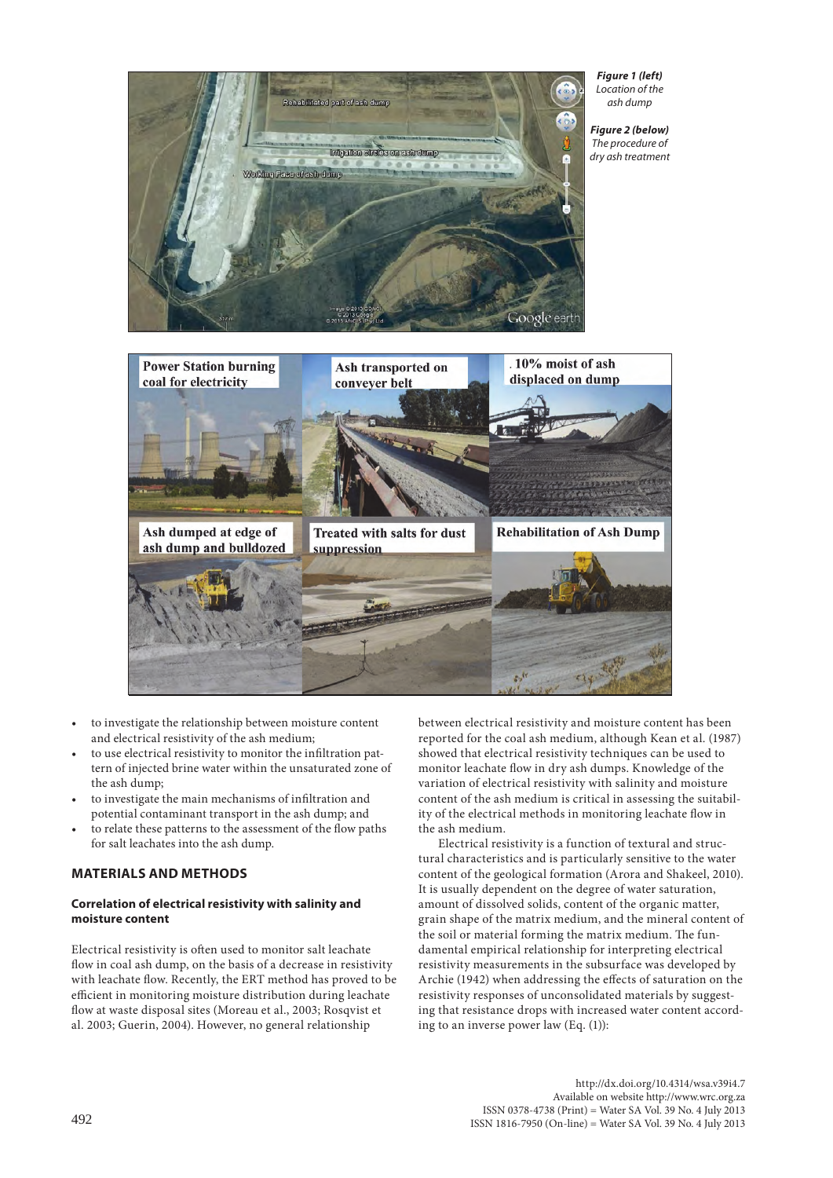

*Figure 1 (left) Location of the ash dump*

*Figure 2 (below) The procedure of dry ash treatment*



- to investigate the relationship between moisture content and electrical resistivity of the ash medium;
- to use electrical resistivity to monitor the infiltration pattern of injected brine water within the unsaturated zone of the ash dump;
- to investigate the main mechanisms of infiltration and potential contaminant transport in the ash dump; and
- to relate these patterns to the assessment of the flow paths for salt leachates into the ash dump.

## **MATERIALS AND METHODS**

## **Correlation of electrical resistivity with salinity and moisture content**

Electrical resistivity is often used to monitor salt leachate flow in coal ash dump, on the basis of a decrease in resistivity with leachate flow. Recently, the ERT method has proved to be efficient in monitoring moisture distribution during leachate flow at waste disposal sites (Moreau et al., 2003; Rosqvist et al. 2003; Guerin, 2004). However, no general relationship

between electrical resistivity and moisture content has been reported for the coal ash medium, although Kean et al. (1987) showed that electrical resistivity techniques can be used to monitor leachate flow in dry ash dumps. Knowledge of the variation of electrical resistivity with salinity and moisture content of the ash medium is critical in assessing the suitability of the electrical methods in monitoring leachate flow in the ash medium.

Electrical resistivity is a function of textural and structural characteristics and is particularly sensitive to the water content of the geological formation (Arora and Shakeel, 2010). It is usually dependent on the degree of water saturation, amount of dissolved solids, content of the organic matter, grain shape of the matrix medium, and the mineral content of the soil or material forming the matrix medium. The fundamental empirical relationship for interpreting electrical resistivity measurements in the subsurface was developed by Archie (1942) when addressing the effects of saturation on the resistivity responses of unconsolidated materials by suggesting that resistance drops with increased water content according to an inverse power law (Eq. (1)):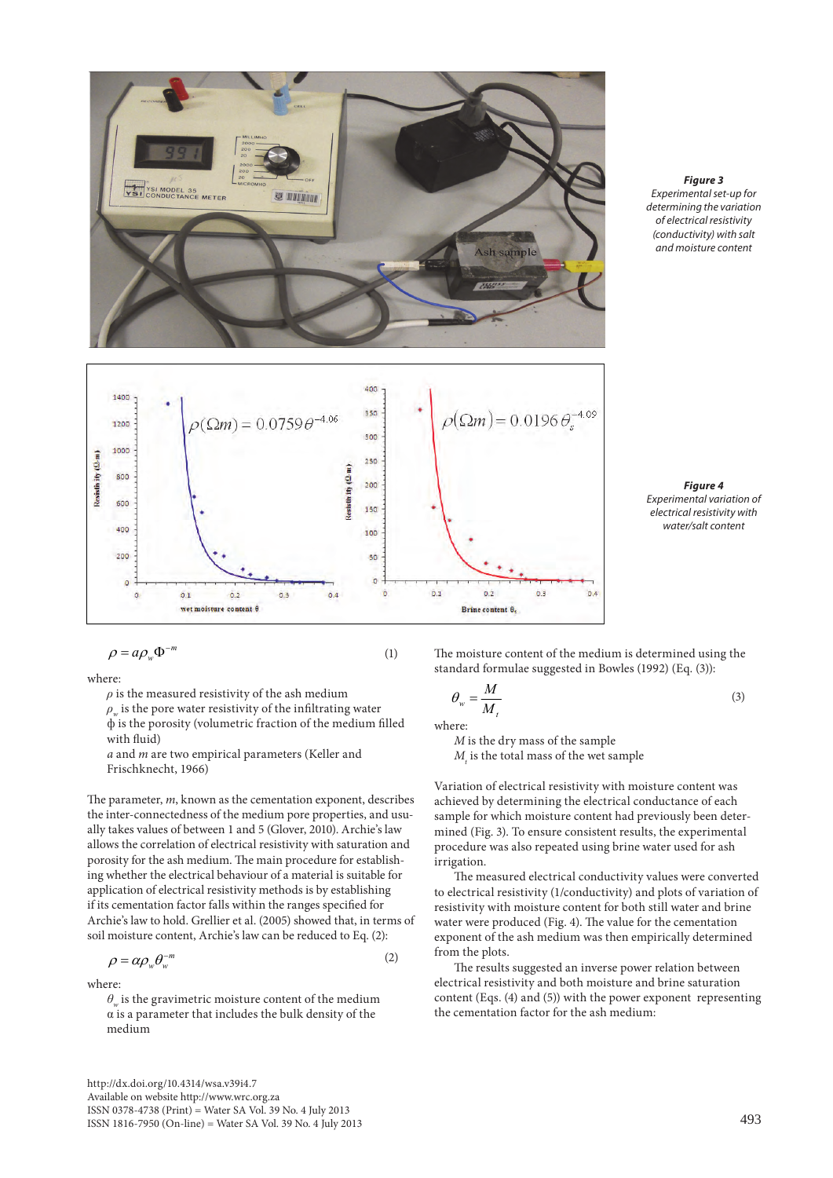

*Figure 3 Experimental set-up for determining the variation of electrical resistivity (conductivity) with salt and moisture content*



*Figure 4 Experimental variation of electrical resistivity with water/salt content*

where:

 $\rho$  is the measured resistivity of the ash medium  $\rho_w$  is the pore water resistivity of the infiltrating water ф is the porosity (volumetric fraction of the medium filled with fluid)

*a* and *m* are two empirical parameters (Keller and Frischknecht, 1966)

The parameter, *m*, known as the cementation exponent, describes the inter-connectedness of the medium pore properties, and usually takes values of between 1 and 5 (Glover, 2010). Archie's law allows the correlation of electrical resistivity with saturation and porosity for the ash medium. The main procedure for establishing whether the electrical behaviour of a material is suitable for application of electrical resistivity methods is by establishing if its cementation factor falls within the ranges specified for Archie's law to hold. Grellier et al. (2005) showed that, in terms of soil moisture content, Archie's law can be reduced to Eq. (2):

$$
\rho = \alpha \rho_w \theta_w^{-m} \tag{2}
$$

where:

 $\theta$  is the gravimetric moisture content of the medium  $\alpha$  is a parameter that includes the bulk density of the medium

http://dx.doi.org/10.4314/wsa.v39i4.7 Available on website http://www.wrc.org.za ISSN 0378-4738 (Print) = Water SA Vol. 39 No. 4 July 2013 ISSN 1816-7950 (On-line) = Water SA Vol. 39 No. 4 July 2013 493

The moisture content of the medium is determined using the standard formulae suggested in Bowles (1992) (Eq. (3)):

$$
\theta_{w} = \frac{M}{M_{t}} \tag{3}
$$

where:

*M* is the dry mass of the sample  $M_{\rm t}$  is the total mass of the wet sample

Variation of electrical resistivity with moisture content was achieved by determining the electrical conductance of each sample for which moisture content had previously been determined (Fig. 3). To ensure consistent results, the experimental procedure was also repeated using brine water used for ash irrigation.

The measured electrical conductivity values were converted to electrical resistivity (1/conductivity) and plots of variation of resistivity with moisture content for both still water and brine water were produced (Fig. 4). The value for the cementation exponent of the ash medium was then empirically determined from the plots.

The results suggested an inverse power relation between electrical resistivity and both moisture and brine saturation content (Eqs. (4) and (5)) with the power exponent representing the cementation factor for the ash medium: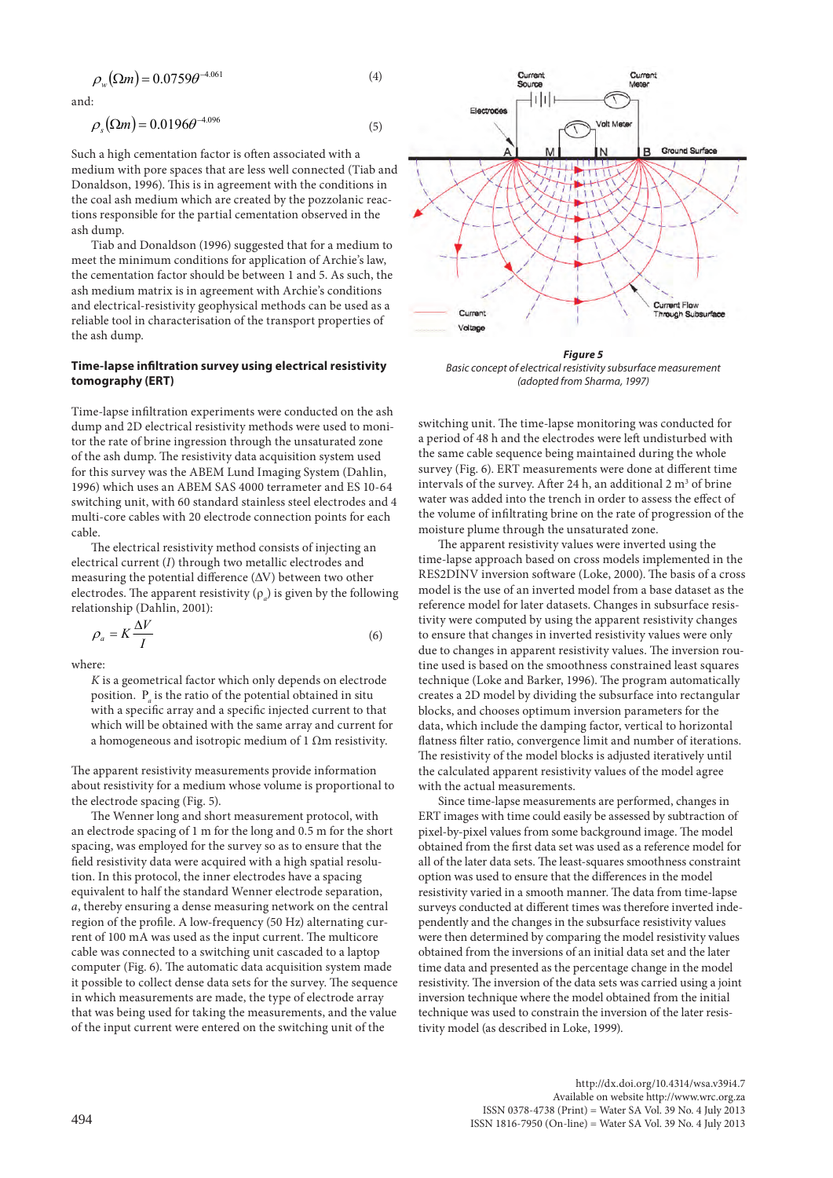$$
\rho_w(\Omega m) = 0.0759 \theta^{-4.061}
$$
\n(4)

and:

$$
\rho_s(\Omega m) = 0.0196\theta^{-4.096} \tag{5}
$$

Such a high cementation factor is often associated with a medium with pore spaces that are less well connected (Tiab and Donaldson, 1996). This is in agreement with the conditions in the coal ash medium which are created by the pozzolanic reactions responsible for the partial cementation observed in the ash dump.

Tiab and Donaldson (1996) suggested that for a medium to meet the minimum conditions for application of Archie's law, the cementation factor should be between 1 and 5. As such, the ash medium matrix is in agreement with Archie's conditions and electrical-resistivity geophysical methods can be used as a reliable tool in characterisation of the transport properties of the ash dump.

### **Time-lapse infiltration survey using electrical resistivity tomography (ERT)**

Time-lapse infiltration experiments were conducted on the ash dump and 2D electrical resistivity methods were used to monitor the rate of brine ingression through the unsaturated zone of the ash dump. The resistivity data acquisition system used for this survey was the ABEM Lund Imaging System (Dahlin, 1996) which uses an ABEM SAS 4000 terrameter and ES 10-64 switching unit, with 60 standard stainless steel electrodes and 4 multi-core cables with 20 electrode connection points for each cable.

The electrical resistivity method consists of injecting an electrical current (*I*) through two metallic electrodes and measuring the potential difference  $(\Delta V)$  between two other electrodes. The apparent resistivity  $(\rho_a)$  is given by the following relationship (Dahlin, 2001):

$$
\rho_a = K \frac{\Delta V}{I} \tag{6}
$$

where:

*K* is a geometrical factor which only depends on electrode position. Ρ*<sup>a</sup>* is the ratio of the potential obtained in situ with a specific array and a specific injected current to that which will be obtained with the same array and current for a homogeneous and isotropic medium of 1 Ωm resistivity.

The apparent resistivity measurements provide information about resistivity for a medium whose volume is proportional to the electrode spacing (Fig. 5).

The Wenner long and short measurement protocol, with an electrode spacing of 1 m for the long and 0.5 m for the short spacing, was employed for the survey so as to ensure that the field resistivity data were acquired with a high spatial resolution. In this protocol, the inner electrodes have a spacing equivalent to half the standard Wenner electrode separation, *a*, thereby ensuring a dense measuring network on the central region of the profile. A low-frequency (50 Hz) alternating current of 100 mA was used as the input current. The multicore cable was connected to a switching unit cascaded to a laptop computer (Fig. 6). The automatic data acquisition system made it possible to collect dense data sets for the survey. The sequence in which measurements are made, the type of electrode array that was being used for taking the measurements, and the value of the input current were entered on the switching unit of the



*Figure 5 Basic concept of electrical resistivity subsurface measurement (adopted from Sharma, 1997)*

switching unit. The time-lapse monitoring was conducted for a period of 48 h and the electrodes were left undisturbed with the same cable sequence being maintained during the whole survey (Fig. 6). ERT measurements were done at different time intervals of the survey. After 24 h, an additional 2  $m<sup>3</sup>$  of brine water was added into the trench in order to assess the effect of the volume of infiltrating brine on the rate of progression of the moisture plume through the unsaturated zone.

The apparent resistivity values were inverted using the time-lapse approach based on cross models implemented in the RES2DINV inversion software (Loke, 2000). The basis of a cross model is the use of an inverted model from a base dataset as the reference model for later datasets. Changes in subsurface resistivity were computed by using the apparent resistivity changes to ensure that changes in inverted resistivity values were only due to changes in apparent resistivity values. The inversion routine used is based on the smoothness constrained least squares technique (Loke and Barker, 1996). The program automatically creates a 2D model by dividing the subsurface into rectangular blocks, and chooses optimum inversion parameters for the data, which include the damping factor, vertical to horizontal flatness filter ratio, convergence limit and number of iterations. The resistivity of the model blocks is adjusted iteratively until the calculated apparent resistivity values of the model agree with the actual measurements.

Since time-lapse measurements are performed, changes in ERT images with time could easily be assessed by subtraction of pixel-by-pixel values from some background image. The model obtained from the first data set was used as a reference model for all of the later data sets. The least-squares smoothness constraint option was used to ensure that the differences in the model resistivity varied in a smooth manner. The data from time-lapse surveys conducted at different times was therefore inverted independently and the changes in the subsurface resistivity values were then determined by comparing the model resistivity values obtained from the inversions of an initial data set and the later time data and presented as the percentage change in the model resistivity. The inversion of the data sets was carried using a joint inversion technique where the model obtained from the initial technique was used to constrain the inversion of the later resistivity model (as described in Loke, 1999).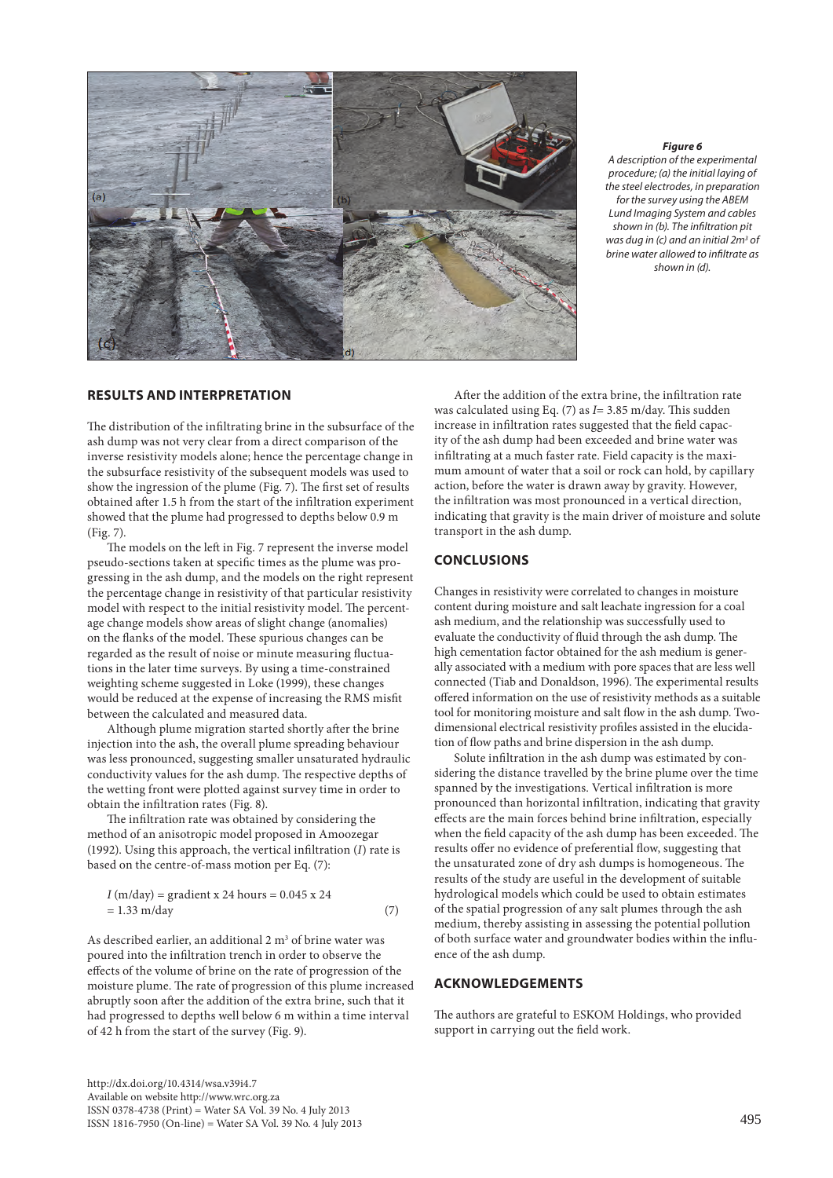

#### *Figure 6*

*A description of the experimental procedure; (a) the initial laying of the steel electrodes, in preparation for the survey using the ABEM Lund Imaging System and cables shown in (b). The infiltration pit was dug in (c) and an initial 2m3 of brine water allowed to infiltrate as shown in (d).* 

## **RESULTS AND INTERPRETATION**

The distribution of the infiltrating brine in the subsurface of the ash dump was not very clear from a direct comparison of the inverse resistivity models alone; hence the percentage change in the subsurface resistivity of the subsequent models was used to show the ingression of the plume (Fig. 7). The first set of results obtained after 1.5 h from the start of the infiltration experiment showed that the plume had progressed to depths below 0.9 m (Fig. 7).

The models on the left in Fig. 7 represent the inverse model pseudo-sections taken at specific times as the plume was progressing in the ash dump, and the models on the right represent the percentage change in resistivity of that particular resistivity model with respect to the initial resistivity model. The percentage change models show areas of slight change (anomalies) on the flanks of the model. These spurious changes can be regarded as the result of noise or minute measuring fluctuations in the later time surveys. By using a time-constrained weighting scheme suggested in Loke (1999), these changes would be reduced at the expense of increasing the RMS misfit between the calculated and measured data.

Although plume migration started shortly after the brine injection into the ash, the overall plume spreading behaviour was less pronounced, suggesting smaller unsaturated hydraulic conductivity values for the ash dump. The respective depths of the wetting front were plotted against survey time in order to obtain the infiltration rates (Fig. 8).

The infiltration rate was obtained by considering the method of an anisotropic model proposed in Amoozegar (1992). Using this approach, the vertical infiltration (*I*) rate is based on the centre-of-mass motion per Eq. (7):

$$
I (m/day) = gradient x 24 hours = 0.045 x 24
$$
  
= 1.33 m/day (7)

As described earlier, an additional  $2 \text{ m}^3$  of brine water was poured into the infiltration trench in order to observe the effects of the volume of brine on the rate of progression of the moisture plume. The rate of progression of this plume increased abruptly soon after the addition of the extra brine, such that it had progressed to depths well below 6 m within a time interval of 42 h from the start of the survey (Fig. 9).

After the addition of the extra brine, the infiltration rate was calculated using Eq. (7) as *I*= 3.85 m/day. This sudden increase in infiltration rates suggested that the field capacity of the ash dump had been exceeded and brine water was infiltrating at a much faster rate. Field capacity is the maximum amount of water that a soil or rock can hold, by capillary action, before the water is drawn away by gravity. However, the infiltration was most pronounced in a vertical direction, indicating that gravity is the main driver of moisture and solute transport in the ash dump.

## **CONCLUSIONS**

Changes in resistivity were correlated to changes in moisture content during moisture and salt leachate ingression for a coal ash medium, and the relationship was successfully used to evaluate the conductivity of fluid through the ash dump. The high cementation factor obtained for the ash medium is generally associated with a medium with pore spaces that are less well connected (Tiab and Donaldson, 1996). The experimental results offered information on the use of resistivity methods as a suitable tool for monitoring moisture and salt flow in the ash dump. Twodimensional electrical resistivity profiles assisted in the elucidation of flow paths and brine dispersion in the ash dump.

Solute infiltration in the ash dump was estimated by considering the distance travelled by the brine plume over the time spanned by the investigations. Vertical infiltration is more pronounced than horizontal infiltration, indicating that gravity effects are the main forces behind brine infiltration, especially when the field capacity of the ash dump has been exceeded. The results offer no evidence of preferential flow, suggesting that the unsaturated zone of dry ash dumps is homogeneous. The results of the study are useful in the development of suitable hydrological models which could be used to obtain estimates of the spatial progression of any salt plumes through the ash medium, thereby assisting in assessing the potential pollution of both surface water and groundwater bodies within the influence of the ash dump.

## **ACKNOWLEDGEMENTS**

The authors are grateful to ESKOM Holdings, who provided support in carrying out the field work.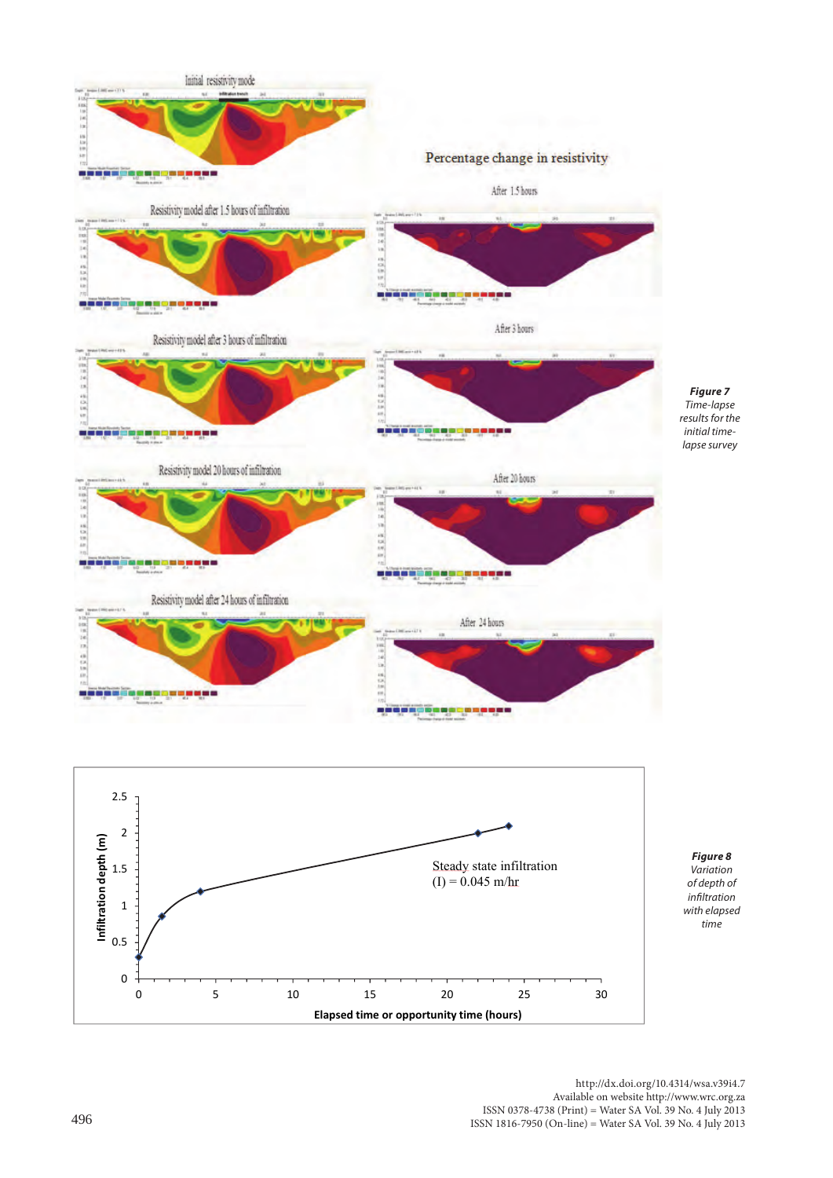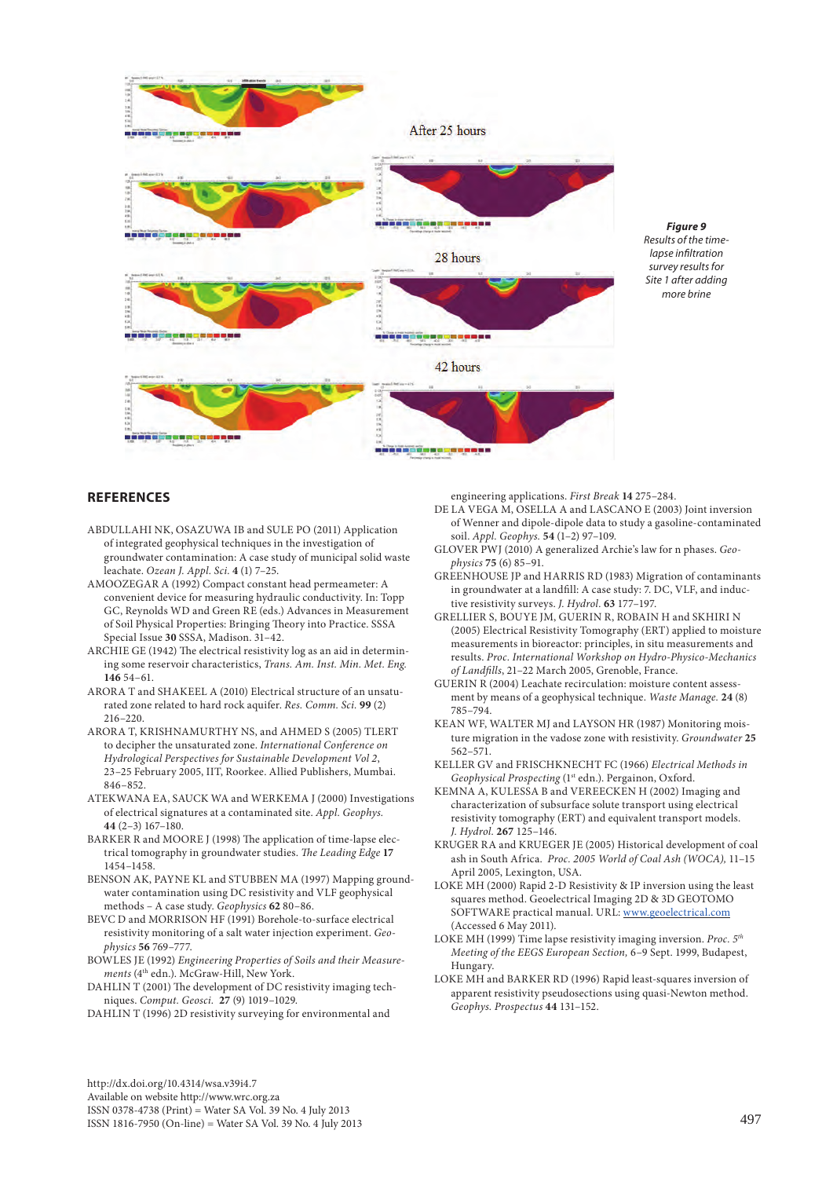

*Figure 9 Results of the timelapse infiltration survey results for Site 1 after adding more brine*

# **REFERENCES**

- ABDULLAHI NK, OSAZUWA IB and SULE PO (2011) Application of integrated geophysical techniques in the investigation of groundwater contamination: A case study of municipal solid waste leachate. *Ozean J. Appl. Sci.* **4** (1) 7–25.
- AMOOZEGAR A (1992) Compact constant head permeameter: A convenient device for measuring hydraulic conductivity. In: Topp GC, Reynolds WD and Green RE (eds.) Advances in Measurement of Soil Physical Properties: Bringing Theory into Practice. SSSA Special Issue **30** SSSA, Madison. 31–42.
- ARCHIE GE (1942) The electrical resistivity log as an aid in determining some reservoir characteristics, *Trans. Am. Inst. Min. Met. Eng.*  **146** 54–61.
- ARORA T and SHAKEEL A (2010) Electrical structure of an unsaturated zone related to hard rock aquifer. *Res. Comm. Sci.* **99** (2) 216–220.
- ARORA T, KRISHNAMURTHY NS, and AHMED S (2005) TLERT to decipher the unsaturated zone. *International Conference on Hydrological Perspectives for Sustainable Development Vol 2*, 23–25 February 2005, IIT, Roorkee. Allied Publishers, Mumbai. 846–852.
- ATEKWANA EA, SAUCK WA and WERKEMA J (2000) Investigations of electrical signatures at a contaminated site. *Appl. Geophys.* **44** (2–3) 167–180.
- BARKER R and MOORE J (1998) The application of time-lapse electrical tomography in groundwater studies. *The Leading Edge* **17** 1454–1458.
- BENSON AK, PAYNE KL and STUBBEN MA (1997) Mapping groundwater contamination using DC resistivity and VLF geophysical methods – A case study. *Geophysics* **62** 80–86.
- BEVC D and MORRISON HF (1991) Borehole-to-surface electrical resistivity monitoring of a salt water injection experiment. *Geophysics* **56** 769–777.
- BOWLES JE (1992) *Engineering Properties of Soils and their Measure*ments (4<sup>th</sup> edn.). McGraw-Hill, New York.
- DAHLIN T (2001) The development of DC resistivity imaging techniques. *Comput. Geosci.* **27** (9) 1019–1029.
- DAHLIN T (1996) 2D resistivity surveying for environmental and

engineering applications. *First Break* **14** 275–284.

- DE LA VEGA M, OSELLA A and LASCANO E (2003) Joint inversion of Wenner and dipole-dipole data to study a gasoline-contaminated soil. *Appl. Geophys.* **54** (1–2) 97–109.
- GLOVER PWJ (2010) A generalized Archie's law for n phases. *Geophysics* **75** (6) 85–91.
- GREENHOUSE JP and HARRIS RD (1983) Migration of contaminants in groundwater at a landfill: A case study: 7. DC, VLF, and inductive resistivity surveys. *J. Hydrol.* **63** 177–197.
- GRELLIER S, BOUYE JM, GUERIN R, ROBAIN H and SKHIRI N (2005) Electrical Resistivity Tomography (ERT) applied to moisture measurements in bioreactor: principles, in situ measurements and results. *Proc. International Workshop on Hydro-Physico-Mechanics of Landfills*, 21–22 March 2005, Grenoble, France.
- GUERIN R (2004) Leachate recirculation: moisture content assessment by means of a geophysical technique. *Waste Manage.* **24** (8) 785–794.
- KEAN WF, WALTER MJ and LAYSON HR (1987) Monitoring moisture migration in the vadose zone with resistivity. *Groundwater* **25**  562–571.
- KELLER GV and FRISCHKNECHT FC (1966) *Electrical Methods in Geophysical Prospecting* (1st edn.). Pergainon, Oxford.
- KEMNA A, KULESSA B and VEREECKEN H (2002) Imaging and characterization of subsurface solute transport using electrical resistivity tomography (ERT) and equivalent transport models. *J. Hydrol.* **267** 125–146.
- KRUGER RA and KRUEGER JE (2005) Historical development of coal ash in South Africa. *Proc. 2005 World of Coal Ash (WOCA),* 11–15 April 2005, Lexington, USA.
- LOKE MH (2000) Rapid 2-D Resistivity & IP inversion using the least squares method. Geoelectrical Imaging 2D & 3D GEOTOMO SOFTWARE practical manual. URL: [www.geoelectrical.com](http://www.geoelectrical.com) (Accessed 6 May 2011).
- LOKE MH (1999) Time lapse resistivity imaging inversion. *Proc. 5th Meeting of the EEGS European Section,* 6–9 Sept. 1999, Budapest, Hungary.
- LOKE MH and BARKER RD (1996) Rapid least-squares inversion of apparent resistivity pseudosections using quasi-Newton method. *Geophys. Prospectus* **44** 131–152.

http://dx.doi.org/10.4314/wsa.v39i4.7 Available on website http://www.wrc.org.za

ISSN 0378-4738 (Print) = Water SA Vol. 39 No. 4 July 2013 ISSN 1816-7950 (On-line) = Water SA Vol. 39 No. 4 July 2013 497